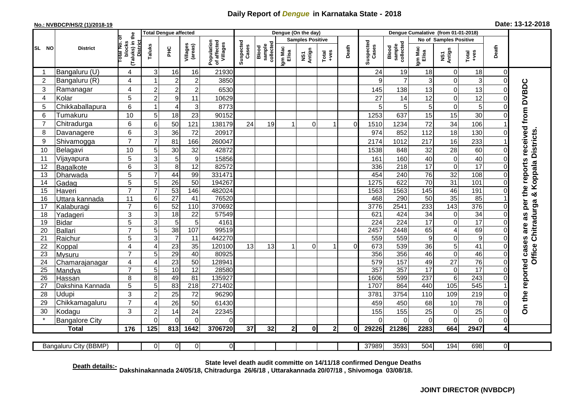## **Daily Report of** *Dengue* **in Karnataka State - 2018**

## **No.: NVBDCP/HS/2 (1)/2018-19 Date: 13-12-2018**

|                 | <b>District</b>         | the                                             |                | <b>Total Dengue affected</b> |                       |                                       | Dengue (On the day) |                              |                  |                         |                  |          |                    | Dengue Cumalative (from 01-01-2018) |                        |                         |                        |                |                                 |  |
|-----------------|-------------------------|-------------------------------------------------|----------------|------------------------------|-----------------------|---------------------------------------|---------------------|------------------------------|------------------|-------------------------|------------------|----------|--------------------|-------------------------------------|------------------------|-------------------------|------------------------|----------------|---------------------------------|--|
|                 |                         |                                                 |                |                              |                       |                                       |                     |                              |                  | <b>Samples Positive</b> |                  |          |                    |                                     | No of Samples Positive |                         |                        |                |                                 |  |
| SL NO           |                         | (Taluks) in t<br>District<br>blocks<br>otal No. | Taluks         | PНC                          | Villages<br>(areas)   | Population<br>of affected<br>Villages | Suspected<br>Cases  | collected<br>Blood<br>sample | Igm Mac<br>Elisa | NS1<br>Antign           | Total<br>$+ve$ s | Death    | Suspected<br>Cases | Blood<br>sample<br>collected        | Igm Mac<br>Elisa       | NS1<br>Antign           | $\frac{Total}{100}$    | Death          |                                 |  |
|                 | Bangaluru (U)           | 4                                               | 3              | 16                           | 16                    | 21930                                 |                     |                              |                  |                         |                  |          | 24                 | 19                                  | 18                     | $\overline{0}$          | 18                     | $\mathbf 0$    |                                 |  |
| $\overline{2}$  | Bangaluru (R)           | 4                                               | 1              | $\overline{2}$               | $\overline{c}$        | 3850                                  |                     |                              |                  |                         |                  |          | 9                  | $\overline{7}$                      | 3                      | $\mathbf 0$             | 3                      | $\Omega$       |                                 |  |
| 3               | Ramanagar               | 4                                               | $\overline{2}$ | $\overline{\mathbf{c}}$      | $\overline{c}$        | 6530                                  |                     |                              |                  |                         |                  |          | 145                | 138                                 | 13                     | $\overline{0}$          | 13                     | 0              | the reports received from DVBDC |  |
| 4               | Kolar                   | 5                                               | $\overline{2}$ | $\boldsymbol{9}$             | 11                    | 10629                                 |                     |                              |                  |                         |                  |          | 27                 | 14                                  | 12                     | $\overline{0}$          | 12                     | 0              |                                 |  |
| 5               | Chikkaballapura         | 6                                               | $\mathbf{1}$   | $\overline{4}$               | 3                     | 8773                                  |                     |                              |                  |                         |                  |          | 5                  | 5                                   | 5                      | $\overline{0}$          | 5                      | 0              |                                 |  |
| 6               | Tumakuru                | 10                                              | 5              | 18                           | 23                    | 90152                                 |                     |                              |                  |                         |                  |          | 1253               | 637                                 | 15                     | $\overline{15}$         | 30                     | 0              |                                 |  |
| 7               | Chitradurga             | 6                                               | 6              | 50                           | 121                   | 138179                                | 24                  | 19                           |                  | $\mathbf 0$             | 1                | $\Omega$ | 1510               | 1234                                | 72                     | 34                      | 106                    |                |                                 |  |
| 8               | Davanagere              | 6                                               | 3              | 36                           | 72                    | 20917                                 |                     |                              |                  |                         |                  |          | 974                | 852                                 | 112                    | 18                      | 130                    | 0              |                                 |  |
| 9               | Shivamogga              | $\overline{7}$                                  | $\overline{7}$ | 81                           | 166                   | 260047                                |                     |                              |                  |                         |                  |          | 2174               | 1012                                | 217                    | 16                      | 233                    |                | Koppala Districts               |  |
| 10              | Belagavi                | 10                                              | 5              | 30                           | 32                    | 42872                                 |                     |                              |                  |                         |                  |          | 1538               | 848                                 | 32                     | 28                      | 60                     | 0              |                                 |  |
| 11              | Vijayapura              | 5                                               | 3              | 5                            | $\boldsymbol{9}$      | 15856                                 |                     |                              |                  |                         |                  |          | 161                | 160                                 | 40                     | $\overline{0}$          | 40                     | 0              |                                 |  |
| 12              | Bagalkote               | 6                                               | 3              | $\overline{8}$               | 12                    | 82572                                 |                     |                              |                  |                         |                  |          | 336                | 218                                 | $\overline{17}$        | $\overline{\mathsf{o}}$ | $\overline{17}$        | 0              |                                 |  |
| 13              | Dharwada                | 5                                               | $\overline{7}$ | 44                           | 99                    | 331471                                |                     |                              |                  |                         |                  |          | 454                | 240                                 | 76                     | $\overline{32}$         | 108                    | 0              |                                 |  |
| 14              | Gadag                   | $\overline{5}$                                  | $\overline{5}$ | 26                           | 50                    | 194267                                |                     |                              |                  |                         |                  |          | 1275               | 622                                 | 70                     | 31                      | 101                    | 0              |                                 |  |
| 15              | Haveri                  | $\overline{7}$                                  | $\overline{7}$ | 53                           | 146                   | 482024                                |                     |                              |                  |                         |                  |          | 1563               | 1563                                | 145                    | 46                      | 191                    | 0              | œ                               |  |
| 16              | Uttara kannada          | 11                                              | 6              | $\overline{27}$              | 41                    | 76520                                 |                     |                              |                  |                         |                  |          | 468                | 290                                 | 50                     | 35                      | 85                     |                |                                 |  |
| 17              | Kalaburagi              | $\overline{7}$                                  | 6              | 52                           | 110                   | 370692                                |                     |                              |                  |                         |                  |          | 3776               | 2541                                | 233                    | $\overline{143}$        | 376                    | 0              | per                             |  |
| 18              | Yadageri                | 3                                               | 3              | $\overline{18}$              | 22                    | 57549                                 |                     |                              |                  |                         |                  |          | 621                | 424                                 | 34                     | $\overline{0}$          | 34                     | $\Omega$       | 8g                              |  |
| 19              | <b>Bidar</b>            | 5<br>$\overline{7}$                             | 3              | 5                            | $5\phantom{.0}$       | 4161                                  |                     |                              |                  |                         |                  |          | 224                | $\overline{224}$                    | $\overline{17}$        | $\overline{0}$          | 17                     | 0              |                                 |  |
| 20              | Ballari                 |                                                 | $\overline{5}$ | 38                           | 107                   | 99519                                 |                     |                              |                  |                         |                  |          | 2457               | 2448                                | 65                     | $\overline{4}$          | 69                     | 0              |                                 |  |
| 21<br>22        | Raichur                 | 5<br>4                                          | 3<br>4         | $\overline{7}$<br>23         | 11<br>$\overline{35}$ | 442270<br>120100                      | 13                  | 13                           |                  | $\Omega$                | -1               | $\Omega$ | 559<br>673         | 559<br>539                          | $\boldsymbol{9}$<br>36 | $\overline{0}$<br>5     | $\boldsymbol{9}$<br>41 | 0<br>0         |                                 |  |
| 23              | Koppal<br><b>Mysuru</b> | $\overline{7}$                                  | 5              | 29                           | 40                    | 80925                                 |                     |                              |                  |                         |                  |          | 356                | 356                                 | 46                     | $\overline{0}$          | 46                     | 0              | Office Chitradurga              |  |
| 24              | Chamarajanagar          | 4                                               | $\overline{4}$ | $\overline{23}$              | 50                    | 12894 <sup>-</sup>                    |                     |                              |                  |                         |                  |          | 579                | 157                                 | 49                     | $\overline{27}$         | 76                     | 0              |                                 |  |
| $\overline{25}$ | Mandya                  | $\overline{7}$                                  | 5              | 10                           | 12                    | 28580                                 |                     |                              |                  |                         |                  |          | 357                | 357                                 | 17                     | $\overline{\mathsf{o}}$ | $\overline{17}$        | 0              |                                 |  |
| 26              | Hassan                  | 8                                               | 8              | 49                           | 81                    | 135927                                |                     |                              |                  |                         |                  |          | 1606               | 599                                 | 237                    | $6\overline{6}$         | 243                    | 0              |                                 |  |
| 27              | Dakshina Kannada        | 5                                               | 5              | 83                           | $\overline{218}$      | 271402                                |                     |                              |                  |                         |                  |          | 1707               | 864                                 | 440                    | $\frac{105}{2}$         | 545                    |                |                                 |  |
| 28              | Udupi                   | 3                                               | $\overline{2}$ | $\overline{25}$              | 72                    | 96290                                 |                     |                              |                  |                         |                  |          | 3781               | 3754                                | 110                    | 109                     | 219                    | 0              |                                 |  |
| 29              | Chikkamagaluru          | $\overline{7}$                                  | 4              | $\overline{26}$              | 50                    | 61430                                 |                     |                              |                  |                         |                  |          | 459                | 450                                 | 68                     | 10                      | 78                     | 0              | On the reported cases are       |  |
| 30              | Kodagu                  | 3                                               | $\overline{c}$ | 14                           | 24                    | 22345                                 |                     |                              |                  |                         |                  |          | 155                | 155                                 | 25                     | $\overline{0}$          | 25                     | 0              |                                 |  |
|                 | <b>Bangalore City</b>   |                                                 | $\Omega$       | $\overline{0}$               | $\mathbf 0$           | 0                                     |                     |                              |                  |                         |                  |          | $\Omega$           | $\Omega$                            | $\Omega$               | $\mathbf 0$             | $\overline{0}$         | $\overline{0}$ |                                 |  |
|                 | <b>Total</b>            | 176                                             | 125            | 813                          | 1642                  | 3706720                               | 37                  | 32                           | $\mathbf{2}$     | 0                       | $\mathbf{2}$     | 0        | 29226              | 21286                               | 2283                   | 664                     | 2947                   | 4              |                                 |  |
|                 |                         |                                                 |                |                              |                       |                                       |                     |                              |                  |                         |                  |          |                    |                                     |                        |                         |                        |                |                                 |  |
|                 | Bangaluru City (BBMP)   |                                                 | $\overline{0}$ | $\overline{0}$               | 0                     | $\overline{0}$                        |                     |                              |                  |                         |                  |          | 37989              | 3593                                | 504                    | 194                     | 698                    | $\overline{0}$ |                                 |  |

**Death details:- State level death audit committe on 14/11/18 confirmed Dengue Deaths Dakshinakannada 24/05/18, Chitradurga 26/6/18 , Uttarakannada 20/07/18 , Shivomoga 03/08/18.**